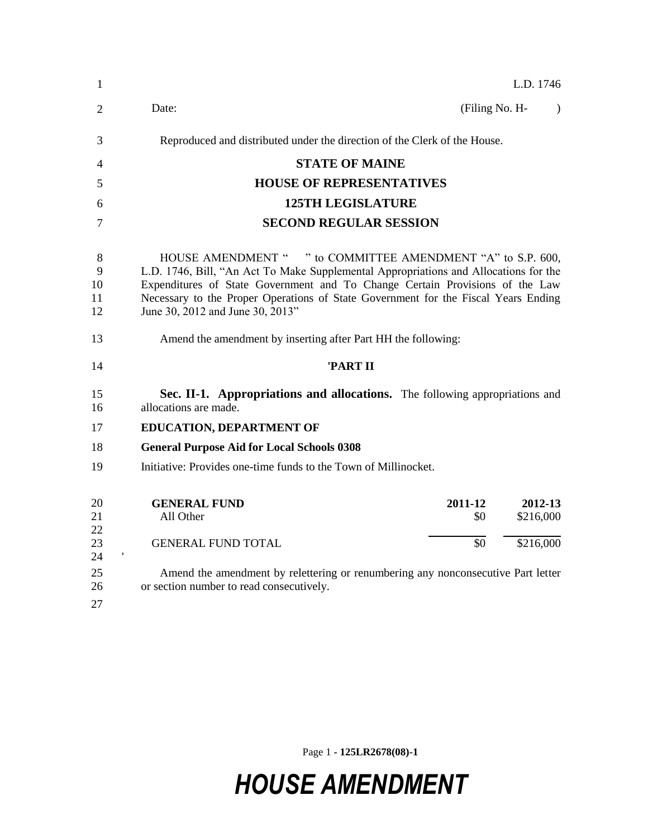| 1                        | L.D. 1746                                                                                                                                                                                                                                                                                                                                                     |
|--------------------------|---------------------------------------------------------------------------------------------------------------------------------------------------------------------------------------------------------------------------------------------------------------------------------------------------------------------------------------------------------------|
| 2                        | Date:<br>(Filing No. H-<br>$\lambda$                                                                                                                                                                                                                                                                                                                          |
| 3                        | Reproduced and distributed under the direction of the Clerk of the House.                                                                                                                                                                                                                                                                                     |
| 4                        | <b>STATE OF MAINE</b>                                                                                                                                                                                                                                                                                                                                         |
| 5                        | <b>HOUSE OF REPRESENTATIVES</b>                                                                                                                                                                                                                                                                                                                               |
| 6                        | <b>125TH LEGISLATURE</b>                                                                                                                                                                                                                                                                                                                                      |
| 7                        | <b>SECOND REGULAR SESSION</b>                                                                                                                                                                                                                                                                                                                                 |
| 8<br>9<br>10<br>11<br>12 | HOUSE AMENDMENT " " to COMMITTEE AMENDMENT "A" to S.P. 600,<br>L.D. 1746, Bill, "An Act To Make Supplemental Appropriations and Allocations for the<br>Expenditures of State Government and To Change Certain Provisions of the Law<br>Necessary to the Proper Operations of State Government for the Fiscal Years Ending<br>June 30, 2012 and June 30, 2013" |
| 13                       | Amend the amendment by inserting after Part HH the following:                                                                                                                                                                                                                                                                                                 |
| 14                       | 'PART II                                                                                                                                                                                                                                                                                                                                                      |
| 15<br>16                 | Sec. II-1. Appropriations and allocations. The following appropriations and<br>allocations are made.                                                                                                                                                                                                                                                          |
| 17                       | <b>EDUCATION, DEPARTMENT OF</b>                                                                                                                                                                                                                                                                                                                               |
| 18                       | <b>General Purpose Aid for Local Schools 0308</b>                                                                                                                                                                                                                                                                                                             |
| 19                       | Initiative: Provides one-time funds to the Town of Millinocket.                                                                                                                                                                                                                                                                                               |
| 20<br>21<br>22           | <b>GENERAL FUND</b><br>2011-12<br>2012-13<br>\$216,000<br>All Other<br>\$0                                                                                                                                                                                                                                                                                    |
| 23<br>24                 | \$0<br><b>GENERAL FUND TOTAL</b><br>\$216,000                                                                                                                                                                                                                                                                                                                 |
| 25<br>26<br>27           | Amend the amendment by relettering or renumbering any nonconsecutive Part letter<br>or section number to read consecutively.                                                                                                                                                                                                                                  |

Page 1 **- 125LR2678(08)-1**

## *HOUSE AMENDMENT*